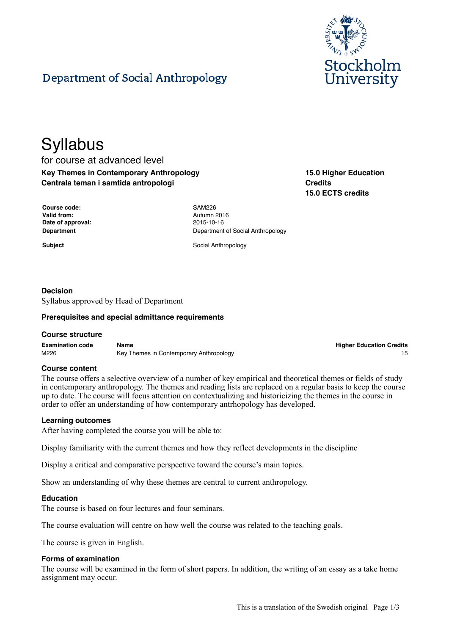

# **Department of Social Anthropology**

# **Syllabus**

for course at advanced level **Key Themes in Contemporary Anthropology Centrala teman i samtida antropologi**

| <b>15.0 Higher Education</b> |
|------------------------------|
| <b>Credits</b>               |
| 15.0 ECTS credits            |

| Course code:      |
|-------------------|
| Valid from:       |
| Date of approval: |
| Department        |

**Course code:** SAM226 **Valid from:** Autumn 2016 **Date of approval:** 2015-10-16 **Department of Social Anthropology** 

**Subject** Social Anthropology

# **Decision**

Syllabus approved by Head of Department

#### **Prerequisites and special admittance requirements**

#### **Course structure**

**Examination code Name Higher Education Credits** M226 Key Themes in Contemporary Anthropology **M226** Key Themes in Contemporary Anthropology

#### **Course content**

The course offers a selective overview of a number of key empirical and theoretical themes or fields of study in contemporary anthropology. The themes and reading lists are replaced on a regular basis to keep the course up to date. The course will focus attention on contextualizing and historicizing the themes in the course in order to offer an understanding of how contemporary antrhopology has developed.

#### **Learning outcomes**

After having completed the course you will be able to:

Display familiarity with the current themes and how they reflect developments in the discipline

Display a critical and comparative perspective toward the course's main topics.

Show an understanding of why these themes are central to current anthropology.

#### **Education**

The course is based on four lectures and four seminars.

The course evaluation will centre on how well the course was related to the teaching goals.

The course is given in English.

#### **Forms of examination**

The course will be examined in the form of short papers. In addition, the writing of an essay as a take home assignment may occur.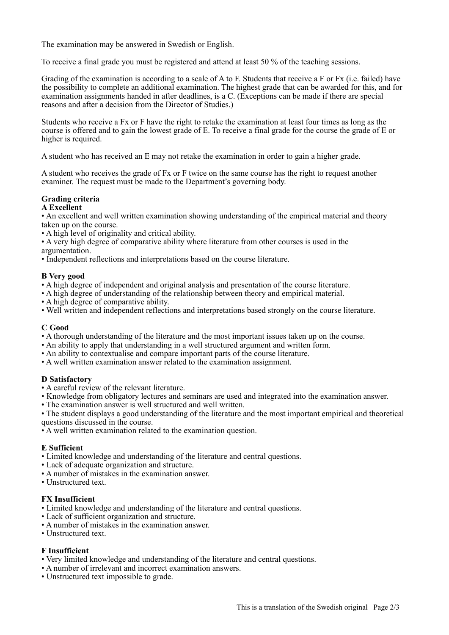The examination may be answered in Swedish or English.

To receive a final grade you must be registered and attend at least 50 % of the teaching sessions.

Grading of the examination is according to a scale of A to F. Students that receive a F or Fx (i.e. failed) have the possibility to complete an additional examination. The highest grade that can be awarded for this, and for examination assignments handed in after deadlines, is a C. (Exceptions can be made if there are special reasons and after a decision from the Director of Studies.)

Students who receive a Fx or F have the right to retake the examination at least four times as long as the course is offered and to gain the lowest grade of E. To receive a final grade for the course the grade of E or higher is required.

A student who has received an E may not retake the examination in order to gain a higher grade.

A student who receives the grade of Fx or F twice on the same course has the right to request another examiner. The request must be made to the Department's governing body.

## **Grading criteria**

#### **A Excellent**

• An excellent and well written examination showing understanding of the empirical material and theory taken up on the course.

- A high level of originality and critical ability.
- A very high degree of comparative ability where literature from other courses is used in the argumentation.
- Independent reflections and interpretations based on the course literature.

#### **B Very good**

• A high degree of independent and original analysis and presentation of the course literature.

- A high degree of understanding of the relationship between theory and empirical material.
- A high degree of comparative ability.
- Well written and independent reflections and interpretations based strongly on the course literature.

#### **C Good**

- A thorough understanding of the literature and the most important issues taken up on the course.
- An ability to apply that understanding in a well structured argument and written form.
- An ability to contextualise and compare important parts of the course literature.
- A well written examination answer related to the examination assignment.

#### **D Satisfactory**

- A careful review of the relevant literature.
- Knowledge from obligatory lectures and seminars are used and integrated into the examination answer.
- The examination answer is well structured and well written.

• The student displays a good understanding of the literature and the most important empirical and theoretical questions discussed in the course.

• A well written examination related to the examination question.

#### **E Sufficient**

- Limited knowledge and understanding of the literature and central questions.
- Lack of adequate organization and structure.
- A number of mistakes in the examination answer.
- Unstructured text.

#### **FX Insufficient**

- Limited knowledge and understanding of the literature and central questions.
- Lack of sufficient organization and structure.
- A number of mistakes in the examination answer.
- Unstructured text.

#### **F Insufficient**

- Very limited knowledge and understanding of the literature and central questions.
- A number of irrelevant and incorrect examination answers.
- Unstructured text impossible to grade.